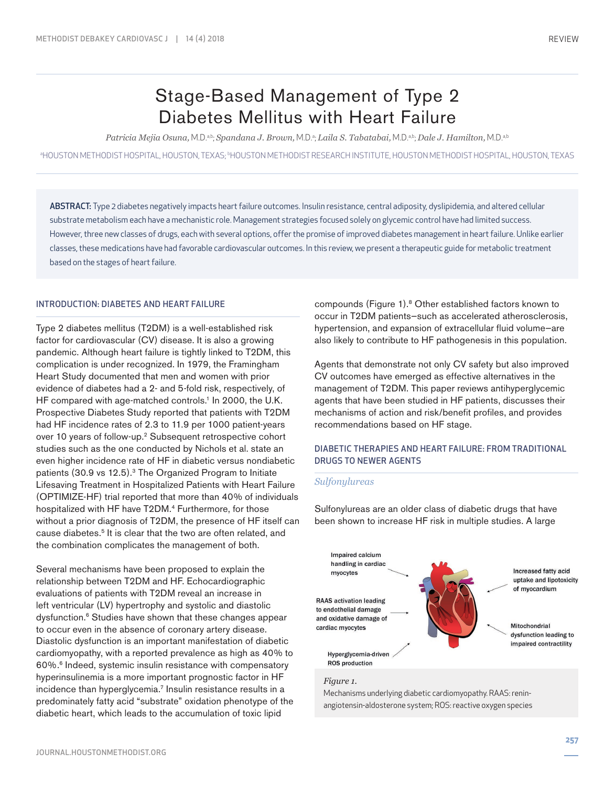# Stage-Based Management of Type 2 Diabetes Mellitus with Heart Failure

 $Patricia Mejia Osuna, M.D.ªʰ,  $Spandana$ , J. Brown, M.D.ª;  $Laila$  S. Tabatabai, M.D.ªʰ,  $Dale$  J. Hamilton, M.D.ªʰ$ 

⊩HOUSTON METHODIST HOSPITAL, HOUSTON, TEXAS; ŀHOUSTON METHODIST RESEARCH INSTITUTE, HOUSTON METHODIST HOSPITAL, HOUSTON, TEXAS

ABSTRACT: Type 2 diabetes negatively impacts heart failure outcomes. Insulin resistance, central adiposity, dyslipidemia, and altered cellular substrate metabolism each have a mechanistic role. Management strategies focused solely on glycemic control have had limited success. However, three new classes of drugs, each with several options, offer the promise of improved diabetes management in heart failure. Unlike earlier classes, these medications have had favorable cardiovascular outcomes. In this review, we present a therapeutic guide for metabolic treatment based on the stages of heart failure.

## INTRODUCTION: DIABETES AND HEART FAILURE

Type 2 diabetes mellitus (T2DM) is a well-established risk factor for cardiovascular (CV) disease. It is also a growing pandemic. Although heart failure is tightly linked to T2DM, this complication is under recognized. In 1979, the Framingham Heart Study documented that men and women with prior evidence of diabetes had a 2- and 5-fold risk, respectively, of HF compared with age-matched controls.<sup>1</sup> In 2000, the U.K. Prospective Diabetes Study reported that patients with T2DM had HF incidence rates of 2.3 to 11.9 per 1000 patient-years over 10 years of follow-up.2 Subsequent retrospective cohort studies such as the one conducted by Nichols et al. state an even higher incidence rate of HF in diabetic versus nondiabetic patients (30.9 vs 12.5).<sup>3</sup> The Organized Program to Initiate Lifesaving Treatment in Hospitalized Patients with Heart Failure (OPTIMIZE-HF) trial reported that more than 40% of individuals hospitalized with HF have T2DM.<sup>4</sup> Furthermore, for those without a prior diagnosis of T2DM, the presence of HF itself can cause diabetes.<sup>5</sup> It is clear that the two are often related, and the combination complicates the management of both.

Several mechanisms have been proposed to explain the relationship between T2DM and HF. Echocardiographic evaluations of patients with T2DM reveal an increase in left ventricular (LV) hypertrophy and systolic and diastolic dysfunction.6 Studies have shown that these changes appear to occur even in the absence of coronary artery disease. Diastolic dysfunction is an important manifestation of diabetic cardiomyopathy, with a reported prevalence as high as 40% to 60%.6 Indeed, systemic insulin resistance with compensatory hyperinsulinemia is a more important prognostic factor in HF incidence than hyperglycemia.<sup>7</sup> Insulin resistance results in a predominately fatty acid "substrate" oxidation phenotype of the diabetic heart, which leads to the accumulation of toxic lipid

compounds (Figure 1).8 Other established factors known to occur in T2DM patients—such as accelerated atherosclerosis, hypertension, and expansion of extracellular fluid volume—are also likely to contribute to HF pathogenesis in this population.

Agents that demonstrate not only CV safety but also improved CV outcomes have emerged as effective alternatives in the management of T2DM. This paper reviews antihyperglycemic agents that have been studied in HF patients, discusses their mechanisms of action and risk/benefit profiles, and provides recommendations based on HF stage.

# DIABETIC THERAPIES AND HEART FAILURE: FROM TRADITIONAL DRUGS TO NEWER AGENTS

# *Sulfonylureas*

Sulfonylureas are an older class of diabetic drugs that have been shown to increase HF risk in multiple studies. A large



#### *Figure 1.*

Mechanisms underlying diabetic cardiomyopathy. RAAS: reninangiotensin-aldosterone system; ROS: reactive oxygen species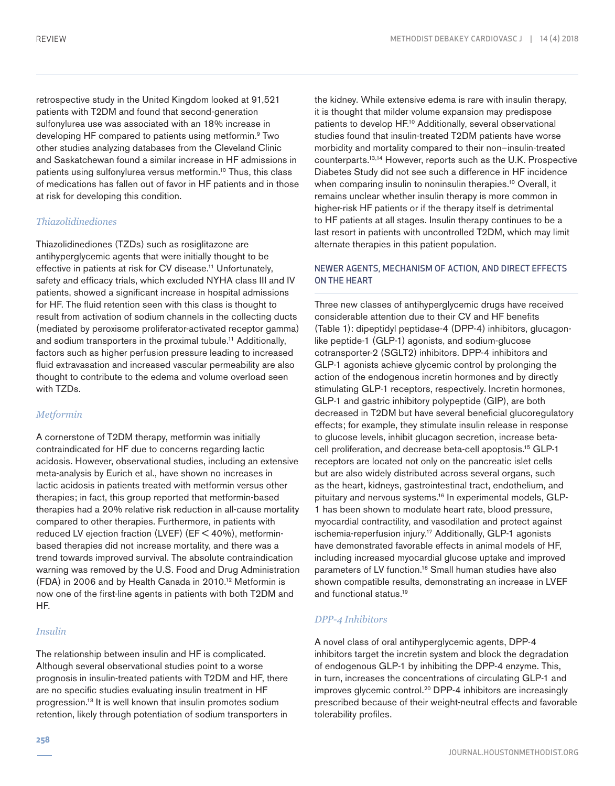retrospective study in the United Kingdom looked at 91,521 patients with T2DM and found that second-generation sulfonylurea use was associated with an 18% increase in developing HF compared to patients using metformin.<sup>9</sup> Two other studies analyzing databases from the Cleveland Clinic and Saskatchewan found a similar increase in HF admissions in patients using sulfonylurea versus metformin.10 Thus, this class of medications has fallen out of favor in HF patients and in those at risk for developing this condition.

## *Thiazolidinediones*

Thiazolidinediones (TZDs) such as rosiglitazone are antihyperglycemic agents that were initially thought to be effective in patients at risk for CV disease.<sup>11</sup> Unfortunately, safety and efficacy trials, which excluded NYHA class III and IV patients, showed a significant increase in hospital admissions for HF. The fluid retention seen with this class is thought to result from activation of sodium channels in the collecting ducts (mediated by peroxisome proliferator-activated receptor gamma) and sodium transporters in the proximal tubule.<sup>11</sup> Additionally, factors such as higher perfusion pressure leading to increased fluid extravasation and increased vascular permeability are also thought to contribute to the edema and volume overload seen with TZDs.

# *Metformin*

A cornerstone of T2DM therapy, metformin was initially contraindicated for HF due to concerns regarding lactic acidosis. However, observational studies, including an extensive meta-analysis by Eurich et al., have shown no increases in lactic acidosis in patients treated with metformin versus other therapies; in fact, this group reported that metformin-based therapies had a 20% relative risk reduction in all-cause mortality compared to other therapies. Furthermore, in patients with reduced LV ejection fraction (LVEF) (EF < 40%), metforminbased therapies did not increase mortality, and there was a trend towards improved survival. The absolute contraindication warning was removed by the U.S. Food and Drug Administration (FDA) in 2006 and by Health Canada in 2010.12 Metformin is now one of the first-line agents in patients with both T2DM and HF.

# *Insulin*

The relationship between insulin and HF is complicated. Although several observational studies point to a worse prognosis in insulin-treated patients with T2DM and HF, there are no specific studies evaluating insulin treatment in HF progression.13 It is well known that insulin promotes sodium retention, likely through potentiation of sodium transporters in the kidney. While extensive edema is rare with insulin therapy, it is thought that milder volume expansion may predispose patients to develop HF.10 Additionally, several observational studies found that insulin-treated T2DM patients have worse morbidity and mortality compared to their non–insulin-treated counterparts.13,14 However, reports such as the U.K. Prospective Diabetes Study did not see such a difference in HF incidence when comparing insulin to noninsulin therapies.<sup>10</sup> Overall, it remains unclear whether insulin therapy is more common in higher-risk HF patients or if the therapy itself is detrimental to HF patients at all stages. Insulin therapy continues to be a last resort in patients with uncontrolled T2DM, which may limit alternate therapies in this patient population.

# NEWER AGENTS, MECHANISM OF ACTION, AND DIRECT EFFECTS ON THE HEART

Three new classes of antihyperglycemic drugs have received considerable attention due to their CV and HF benefits (Table 1): dipeptidyl peptidase-4 (DPP-4) inhibitors, glucagonlike peptide-1 (GLP-1) agonists, and sodium-glucose cotransporter-2 (SGLT2) inhibitors. DPP-4 inhibitors and GLP-1 agonists achieve glycemic control by prolonging the action of the endogenous incretin hormones and by directly stimulating GLP-1 receptors, respectively. Incretin hormones, GLP-1 and gastric inhibitory polypeptide (GIP), are both decreased in T2DM but have several beneficial glucoregulatory effects; for example, they stimulate insulin release in response to glucose levels, inhibit glucagon secretion, increase betacell proliferation, and decrease beta-cell apoptosis.15 GLP-1 receptors are located not only on the pancreatic islet cells but are also widely distributed across several organs, such as the heart, kidneys, gastrointestinal tract, endothelium, and pituitary and nervous systems.<sup>16</sup> In experimental models, GLP-1 has been shown to modulate heart rate, blood pressure, myocardial contractility, and vasodilation and protect against ischemia-reperfusion injury.<sup>17</sup> Additionally, GLP-1 agonists have demonstrated favorable effects in animal models of HF, including increased myocardial glucose uptake and improved parameters of LV function.18 Small human studies have also shown compatible results, demonstrating an increase in LVEF and functional status.19

# *DPP-4 Inhibitors*

A novel class of oral antihyperglycemic agents, DPP-4 inhibitors target the incretin system and block the degradation of endogenous GLP-1 by inhibiting the DPP-4 enzyme. This, in turn, increases the concentrations of circulating GLP-1 and improves glycemic control.<sup>20</sup> DPP-4 inhibitors are increasingly prescribed because of their weight-neutral effects and favorable tolerability profiles.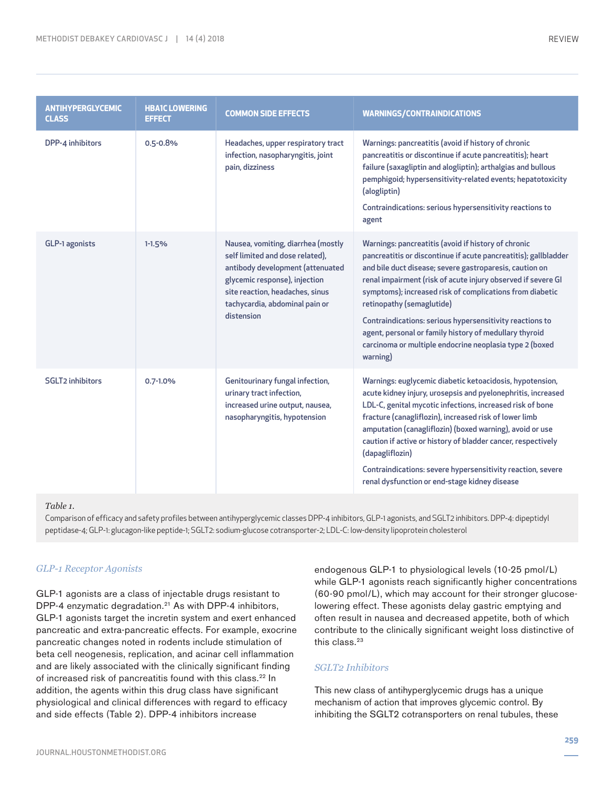| <b>ANTIHYPERGLYCEMIC</b><br><b>CLASS</b> | <b>HBA1C LOWERING</b><br><b>EFFECT</b> | <b>COMMON SIDE EFFECTS</b>                                                                                                                                                                                                    | <b>WARNINGS/CONTRAINDICATIONS</b>                                                                                                                                                                                                                                                                                                                                                                                                                                                                                                       |
|------------------------------------------|----------------------------------------|-------------------------------------------------------------------------------------------------------------------------------------------------------------------------------------------------------------------------------|-----------------------------------------------------------------------------------------------------------------------------------------------------------------------------------------------------------------------------------------------------------------------------------------------------------------------------------------------------------------------------------------------------------------------------------------------------------------------------------------------------------------------------------------|
| DPP-4 inhibitors                         | $0.5 - 0.8%$                           | Headaches, upper respiratory tract<br>infection, nasopharyngitis, joint<br>pain, dizziness                                                                                                                                    | Warnings: pancreatitis (avoid if history of chronic<br>pancreatitis or discontinue if acute pancreatitis); heart<br>failure (saxagliptin and alogliptin); arthalgias and bullous<br>pemphigoid; hypersensitivity-related events; hepatotoxicity<br>(alogliptin)<br>Contraindications: serious hypersensitivity reactions to<br>agent                                                                                                                                                                                                    |
| GLP-1 agonists                           | $1 - 1.5%$                             | Nausea, vomiting, diarrhea (mostly<br>self limited and dose related),<br>antibody development (attenuated<br>glycemic response), injection<br>site reaction, headaches, sinus<br>tachycardia, abdominal pain or<br>distension | Warnings: pancreatitis (avoid if history of chronic<br>pancreatitis or discontinue if acute pancreatitis); gallbladder<br>and bile duct disease; severe gastroparesis, caution on<br>renal impairment (risk of acute injury observed if severe GI<br>symptoms); increased risk of complications from diabetic<br>retinopathy (semaglutide)<br>Contraindications: serious hypersensitivity reactions to<br>agent, personal or family history of medullary thyroid<br>carcinoma or multiple endocrine neoplasia type 2 (boxed<br>warning) |
| <b>SGLT2</b> inhibitors                  | $0.7 - 1.0%$                           | Genitourinary fungal infection,<br>urinary tract infection,<br>increased urine output, nausea,<br>nasopharyngitis, hypotension                                                                                                | Warnings: euglycemic diabetic ketoacidosis, hypotension,<br>acute kidney injury, urosepsis and pyelonephritis, increased<br>LDL-C, genital mycotic infections, increased risk of bone<br>fracture (canagliflozin), increased risk of lower limb<br>amputation (canagliflozin) (boxed warning), avoid or use<br>caution if active or history of bladder cancer, respectively<br>(dapagliflozin)<br>Contraindications: severe hypersensitivity reaction, severe<br>renal dysfunction or end-stage kidney disease                          |

#### *Table 1.*

Comparison of efficacy and safety profiles between antihyperglycemic classes DPP-4 inhibitors, GLP-1 agonists, and SGLT2 inhibitors. DPP-4: dipeptidyl peptidase-4; GLP-1: glucagon-like peptide-1; SGLT2: sodium-glucose cotransporter-2; LDL-C: low-density lipoprotein cholesterol

## *GLP-1 Receptor Agonists*

GLP-1 agonists are a class of injectable drugs resistant to DPP-4 enzymatic degradation.<sup>21</sup> As with DPP-4 inhibitors, GLP-1 agonists target the incretin system and exert enhanced pancreatic and extra-pancreatic effects. For example, exocrine pancreatic changes noted in rodents include stimulation of beta cell neogenesis, replication, and acinar cell inflammation and are likely associated with the clinically significant finding of increased risk of pancreatitis found with this class.22 In addition, the agents within this drug class have significant physiological and clinical differences with regard to efficacy and side effects (Table 2). DPP-4 inhibitors increase

endogenous GLP-1 to physiological levels (10-25 pmol/L) while GLP-1 agonists reach significantly higher concentrations (60-90 pmol/L), which may account for their stronger glucoselowering effect. These agonists delay gastric emptying and often result in nausea and decreased appetite, both of which contribute to the clinically significant weight loss distinctive of this class.<sup>23</sup>

## *SGLT2 Inhibitors*

This new class of antihyperglycemic drugs has a unique mechanism of action that improves glycemic control. By inhibiting the SGLT2 cotransporters on renal tubules, these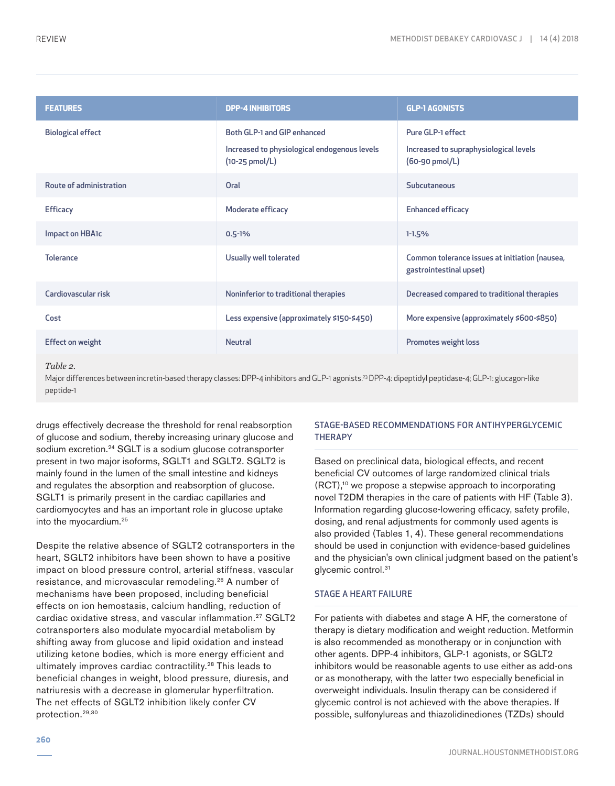| <b>FEATURES</b>          | <b>DPP-4 INHIBITORS</b>                                                     | <b>GLP-1 AGONISTS</b>                                                     |
|--------------------------|-----------------------------------------------------------------------------|---------------------------------------------------------------------------|
| <b>Biological effect</b> | Both GLP-1 and GIP enhanced<br>Increased to physiological endogenous levels | Pure GLP-1 effect<br>Increased to supraphysiological levels               |
|                          | $(10-25 \text{ pmol/L})$                                                    | (60-90 pmol/L)                                                            |
| Route of administration  | Oral                                                                        | Subcutaneous                                                              |
| <b>Efficacy</b>          | Moderate efficacy                                                           | <b>Enhanced efficacy</b>                                                  |
| Impact on HBA1c          | $0.5 - 1%$                                                                  | $1 - 1.5%$                                                                |
| <b>Tolerance</b>         | Usually well tolerated                                                      | Common tolerance issues at initiation (nausea,<br>gastrointestinal upset) |
| Cardiovascular risk      | Noninferior to traditional therapies                                        | Decreased compared to traditional therapies                               |
| Cost                     | Less expensive (approximately \$150-\$450)                                  | More expensive (approximately \$600-\$850)                                |
| <b>Effect on weight</b>  | <b>Neutral</b>                                                              | Promotes weight loss                                                      |

#### *Table 2.*

Major differences between incretin-based therapy classes: DPP-4 inhibitors and GLP-1 agonists.23 DPP-4: dipeptidyl peptidase-4; GLP-1: glucagon-like peptide-1

drugs effectively decrease the threshold for renal reabsorption of glucose and sodium, thereby increasing urinary glucose and sodium excretion.<sup>24</sup> SGLT is a sodium glucose cotransporter present in two major isoforms, SGLT1 and SGLT2. SGLT2 is mainly found in the lumen of the small intestine and kidneys and regulates the absorption and reabsorption of glucose. SGLT1 is primarily present in the cardiac capillaries and cardiomyocytes and has an important role in glucose uptake into the myocardium.25

Despite the relative absence of SGLT2 cotransporters in the heart, SGLT2 inhibitors have been shown to have a positive impact on blood pressure control, arterial stiffness, vascular resistance, and microvascular remodeling.26 A number of mechanisms have been proposed, including beneficial effects on ion hemostasis, calcium handling, reduction of cardiac oxidative stress, and vascular inflammation.27 SGLT2 cotransporters also modulate myocardial metabolism by shifting away from glucose and lipid oxidation and instead utilizing ketone bodies, which is more energy efficient and ultimately improves cardiac contractility.<sup>28</sup> This leads to beneficial changes in weight, blood pressure, diuresis, and natriuresis with a decrease in glomerular hyperfiltration. The net effects of SGLT2 inhibition likely confer CV protection.29,30

# STAGE-BASED RECOMMENDATIONS FOR ANTIHYPERGLYCEMIC **THERAPY**

Based on preclinical data, biological effects, and recent beneficial CV outcomes of large randomized clinical trials (RCT),10 we propose a stepwise approach to incorporating novel T2DM therapies in the care of patients with HF (Table 3). Information regarding glucose-lowering efficacy, safety profile, dosing, and renal adjustments for commonly used agents is also provided (Tables 1, 4). These general recommendations should be used in conjunction with evidence-based guidelines and the physician's own clinical judgment based on the patient's glycemic control.<sup>31</sup>

#### STAGE A HEART FAILURE

For patients with diabetes and stage A HF, the cornerstone of therapy is dietary modification and weight reduction. Metformin is also recommended as monotherapy or in conjunction with other agents. DPP-4 inhibitors, GLP-1 agonists, or SGLT2 inhibitors would be reasonable agents to use either as add-ons or as monotherapy, with the latter two especially beneficial in overweight individuals. Insulin therapy can be considered if glycemic control is not achieved with the above therapies. If possible, sulfonylureas and thiazolidinediones (TZDs) should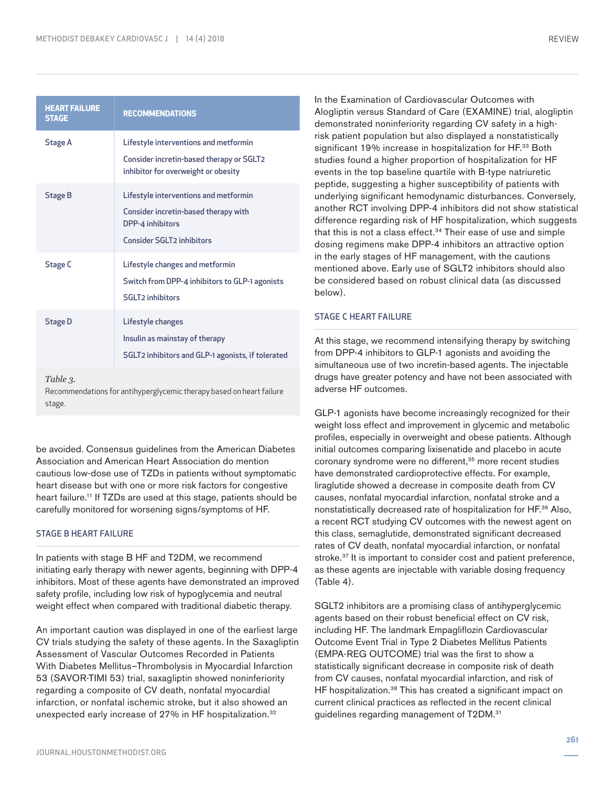|--|

| <b>HEART FAILURE</b><br><b>STAGE</b> | <b>RECOMMENDATIONS</b>                                                                                                                |  |
|--------------------------------------|---------------------------------------------------------------------------------------------------------------------------------------|--|
| Stage A                              | Lifestyle interventions and metformin<br>Consider incretin-based therapy or SGLT2<br>inhibitor for overweight or obesity              |  |
| <b>Stage B</b>                       | Lifestyle interventions and metformin<br>Consider incretin-based therapy with<br>DPP-4 inhibitors<br><b>Consider SGLT2 inhibitors</b> |  |
| <b>Stage C</b>                       | Lifestyle changes and metformin<br>Switch from DPP-4 inhibitors to GLP-1 agonists<br><b>SGLT2</b> inhibitors                          |  |
| <b>Stage D</b>                       | Lifestyle changes<br>Insulin as mainstay of therapy<br>SGLT2 inhibitors and GLP-1 agonists, if tolerated                              |  |

*Table 3.* 

Recommendations for antihyperglycemic therapy based on heart failure stage.

be avoided. Consensus guidelines from the American Diabetes Association and American Heart Association do mention cautious low-dose use of TZDs in patients without symptomatic heart disease but with one or more risk factors for congestive heart failure.<sup>11</sup> If TZDs are used at this stage, patients should be carefully monitored for worsening signs/symptoms of HF.

## STAGE B HEART FAILURE

In patients with stage B HF and T2DM, we recommend initiating early therapy with newer agents, beginning with DPP-4 inhibitors. Most of these agents have demonstrated an improved safety profile, including low risk of hypoglycemia and neutral weight effect when compared with traditional diabetic therapy.

An important caution was displayed in one of the earliest large CV trials studying the safety of these agents. In the Saxagliptin Assessment of Vascular Outcomes Recorded in Patients With Diabetes Mellitus–Thrombolysis in Myocardial Infarction 53 (SAVOR-TIMI 53) trial, saxagliptin showed noninferiority regarding a composite of CV death, nonfatal myocardial infarction, or nonfatal ischemic stroke, but it also showed an unexpected early increase of 27% in HF hospitalization.<sup>32</sup>

In the Examination of Cardiovascular Outcomes with Alogliptin versus Standard of Care (EXAMINE) trial, alogliptin demonstrated noninferiority regarding CV safety in a highrisk patient population but also displayed a nonstatistically significant 19% increase in hospitalization for HF.<sup>33</sup> Both studies found a higher proportion of hospitalization for HF events in the top baseline quartile with B-type natriuretic peptide, suggesting a higher susceptibility of patients with underlying significant hemodynamic disturbances. Conversely, another RCT involving DPP-4 inhibitors did not show statistical difference regarding risk of HF hospitalization, which suggests that this is not a class effect. $34$  Their ease of use and simple dosing regimens make DPP-4 inhibitors an attractive option in the early stages of HF management, with the cautions mentioned above. Early use of SGLT2 inhibitors should also be considered based on robust clinical data (as discussed below).

# STAGE C HEART FAILURE

At this stage, we recommend intensifying therapy by switching from DPP-4 inhibitors to GLP-1 agonists and avoiding the simultaneous use of two incretin-based agents. The injectable drugs have greater potency and have not been associated with adverse HF outcomes.

GLP-1 agonists have become increasingly recognized for their weight loss effect and improvement in glycemic and metabolic profiles, especially in overweight and obese patients. Although initial outcomes comparing lixisenatide and placebo in acute coronary syndrome were no different,<sup>35</sup> more recent studies have demonstrated cardioprotective effects. For example, liraglutide showed a decrease in composite death from CV causes, nonfatal myocardial infarction, nonfatal stroke and a nonstatistically decreased rate of hospitalization for HF.36 Also, a recent RCT studying CV outcomes with the newest agent on this class, semaglutide, demonstrated significant decreased rates of CV death, nonfatal myocardial infarction, or nonfatal stroke.37 It is important to consider cost and patient preference, as these agents are injectable with variable dosing frequency (Table 4).

SGLT2 inhibitors are a promising class of antihyperglycemic agents based on their robust beneficial effect on CV risk, including HF. The landmark Empagliflozin Cardiovascular Outcome Event Trial in Type 2 Diabetes Mellitus Patients (EMPA-REG OUTCOME) trial was the first to show a statistically significant decrease in composite risk of death from CV causes, nonfatal myocardial infarction, and risk of HF hospitalization.<sup>38</sup> This has created a significant impact on current clinical practices as reflected in the recent clinical guidelines regarding management of T2DM.31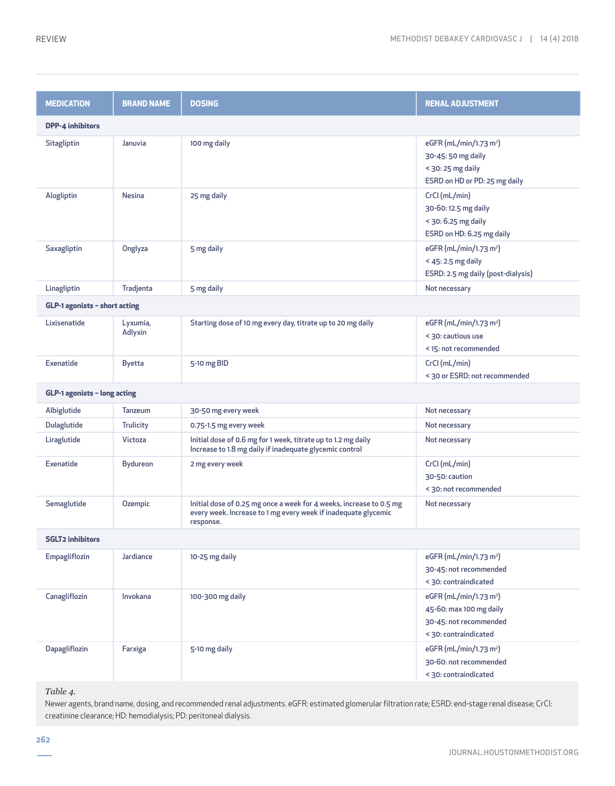| <b>MEDICATION</b>             | <b>BRAND NAME</b>   | <b>DOSING</b>                                                                                                                                      | <b>RENAL ADJUSTMENT</b>                                                                                          |  |  |
|-------------------------------|---------------------|----------------------------------------------------------------------------------------------------------------------------------------------------|------------------------------------------------------------------------------------------------------------------|--|--|
| <b>DPP-4 inhibitors</b>       |                     |                                                                                                                                                    |                                                                                                                  |  |  |
| Sitagliptin                   | Januvia             | 100 mg daily                                                                                                                                       | eGFR (mL/min/1.73 m <sup>2</sup> )<br>30-45:50 mg daily<br>$<$ 30: 25 mg daily<br>ESRD on HD or PD: 25 mg daily  |  |  |
| Alogliptin                    | <b>Nesina</b>       | 25 mg daily                                                                                                                                        | CrCl (mL/min)<br>30-60:12.5 mg daily<br>< 30: 6.25 mg daily<br>ESRD on HD: 6.25 mg daily                         |  |  |
| Saxagliptin                   | Onglyza             | 5 mg daily                                                                                                                                         | eGFR (mL/min/1.73 m <sup>2</sup> )<br>$<$ 45: 2.5 mg daily<br>ESRD: 2.5 mg daily (post-dialysis)                 |  |  |
| Linagliptin                   | Tradjenta           | 5 mg daily                                                                                                                                         | Not necessary                                                                                                    |  |  |
| GLP-1 agonists - short acting |                     |                                                                                                                                                    |                                                                                                                  |  |  |
| Lixisenatide                  | Lyxumia,<br>Adlyxin | Starting dose of 10 mg every day, titrate up to 20 mg daily                                                                                        | eGFR (mL/min/1.73 m <sup>2</sup> )<br>< 30: cautious use<br><15: not recommended                                 |  |  |
| <b>Exenatide</b>              | <b>Byetta</b>       | 5-10 mg BID                                                                                                                                        | CrCl (mL/min)<br>< 30 or ESRD: not recommended                                                                   |  |  |
| GLP-1 agonists - long acting  |                     |                                                                                                                                                    |                                                                                                                  |  |  |
| Albiglutide                   | Tanzeum             | 30-50 mg every week                                                                                                                                | Not necessary                                                                                                    |  |  |
| Dulaglutide                   | <b>Trulicity</b>    | 0.75-1.5 mg every week                                                                                                                             | Not necessary                                                                                                    |  |  |
| Liraglutide                   | <b>Victoza</b>      | Initial dose of 0.6 mg for 1 week, titrate up to 1.2 mg daily<br>Increase to 1.8 mg daily if inadequate glycemic control                           | Not necessary                                                                                                    |  |  |
| <b>Exenatide</b>              | <b>Bydureon</b>     | 2 mg every week                                                                                                                                    | CrCl (mL/min)<br>30-50: caution<br>< 30: not recommended                                                         |  |  |
| Semaglutide                   | Ozempic             | Initial dose of 0.25 mg once a week for 4 weeks, increase to 0.5 mg<br>every week. Increase to 1 mg every week if inadequate glycemic<br>response. | Not necessary                                                                                                    |  |  |
| <b>SGLT2 inhibitors</b>       |                     |                                                                                                                                                    |                                                                                                                  |  |  |
| Empagliflozin                 | Jardiance           | 10-25 mg daily                                                                                                                                     | eGFR (mL/min/1.73 m <sup>2</sup> )<br>30-45: not recommended<br>< 30: contraindicated                            |  |  |
| Canagliflozin                 | Invokana            | 100-300 mg daily                                                                                                                                   | eGFR (mL/min/1.73 m <sup>2</sup> )<br>45-60: max 100 mg daily<br>30-45: not recommended<br>< 30: contraindicated |  |  |
| Dapagliflozin                 | Farxiga             | 5-10 mg daily                                                                                                                                      | eGFR (mL/min/1.73 m <sup>2</sup> )<br>30-60: not recommended<br>< 30: contraindicated                            |  |  |

*Table 4.* 

Newer agents, brand name, dosing, and recommended renal adjustments. eGFR: estimated glomerular filtration rate; ESRD: end-stage renal disease; CrCl: creatinine clearance; HD: hemodialysis; PD: peritoneal dialysis.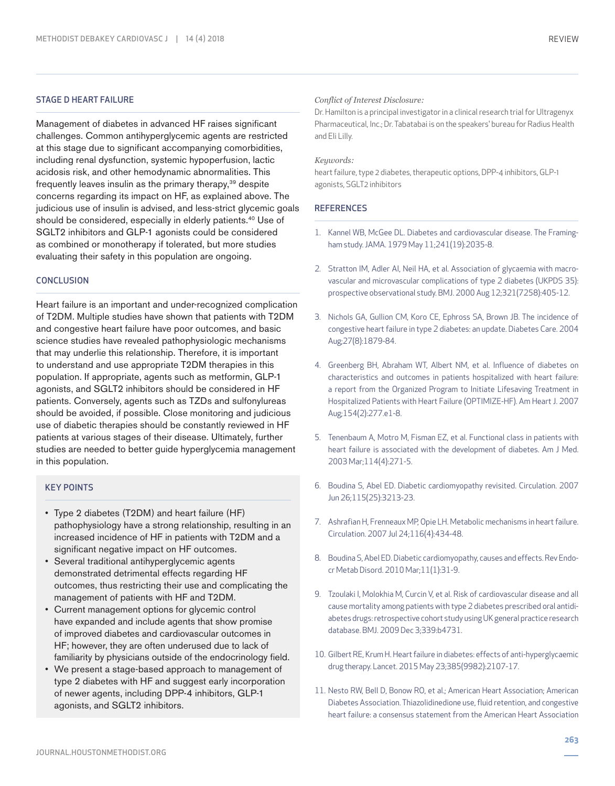## STAGE D HEART FAILURE

Management of diabetes in advanced HF raises significant challenges. Common antihyperglycemic agents are restricted at this stage due to significant accompanying comorbidities, including renal dysfunction, systemic hypoperfusion, lactic acidosis risk, and other hemodynamic abnormalities. This frequently leaves insulin as the primary therapy,<sup>39</sup> despite concerns regarding its impact on HF, as explained above. The judicious use of insulin is advised, and less-strict glycemic goals should be considered, especially in elderly patients.40 Use of SGLT2 inhibitors and GLP-1 agonists could be considered as combined or monotherapy if tolerated, but more studies evaluating their safety in this population are ongoing.

## **CONCLUSION**

Heart failure is an important and under-recognized complication of T2DM. Multiple studies have shown that patients with T2DM and congestive heart failure have poor outcomes, and basic science studies have revealed pathophysiologic mechanisms that may underlie this relationship. Therefore, it is important to understand and use appropriate T2DM therapies in this population. If appropriate, agents such as metformin, GLP-1 agonists, and SGLT2 inhibitors should be considered in HF patients. Conversely, agents such as TZDs and sulfonylureas should be avoided, if possible. Close monitoring and judicious use of diabetic therapies should be constantly reviewed in HF patients at various stages of their disease. Ultimately, further studies are needed to better guide hyperglycemia management in this population.

#### KEY POINTS

- Type 2 diabetes (T2DM) and heart failure (HF) pathophysiology have a strong relationship, resulting in an increased incidence of HF in patients with T2DM and a significant negative impact on HF outcomes.
- Several traditional antihyperglycemic agents demonstrated detrimental effects regarding HF outcomes, thus restricting their use and complicating the management of patients with HF and T2DM.
- Current management options for glycemic control have expanded and include agents that show promise of improved diabetes and cardiovascular outcomes in HF; however, they are often underused due to lack of familiarity by physicians outside of the endocrinology field.
- We present a stage-based approach to management of type 2 diabetes with HF and suggest early incorporation of newer agents, including DPP-4 inhibitors, GLP-1 agonists, and SGLT2 inhibitors.

## *Conflict of Interest Disclosure:*

Dr. Hamilton is a principal investigator in a clinical research trial for Ultragenyx Pharmaceutical, Inc.; Dr. Tabatabai is on the speakers' bureau for Radius Health and Eli Lilly.

## *Keywords:*

heart failure, type 2 diabetes, therapeutic options, DPP-4 inhibitors, GLP-1 agonists, SGLT2 inhibitors

#### **REFERENCES**

- 1. Kannel WB, McGee DL. Diabetes and cardiovascular disease. The Framingham study. JAMA. 1979 May 11;241(19):2035-8.
- 2. Stratton IM, Adler AI, Neil HA, et al. Association of glycaemia with macrovascular and microvascular complications of type 2 diabetes (UKPDS 35): prospective observational study. BMJ. 2000 Aug 12;321(7258):405-12.
- 3. Nichols GA, Gullion CM, Koro CE, Ephross SA, Brown JB. The incidence of congestive heart failure in type 2 diabetes: an update. Diabetes Care. 2004 Aug;27(8):1879-84.
- 4. Greenberg BH, Abraham WT, Albert NM, et al. Influence of diabetes on characteristics and outcomes in patients hospitalized with heart failure: a report from the Organized Program to Initiate Lifesaving Treatment in Hospitalized Patients with Heart Failure (OPTIMIZE-HF). Am Heart J. 2007 Aug;154(2):277.e1-8.
- 5. Tenenbaum A, Motro M, Fisman EZ, et al. Functional class in patients with heart failure is associated with the development of diabetes. Am J Med. 2003 Mar;114(4):271-5.
- 6. Boudina S, Abel ED. Diabetic cardiomyopathy revisited. Circulation. 2007 Jun 26;115(25):3213-23.
- 7. Ashrafian H, Frenneaux MP, Opie LH. Metabolic mechanisms in heart failure. Circulation. 2007 Jul 24;116(4):434-48.
- 8. Boudina S, Abel ED. Diabetic cardiomyopathy, causes and effects. Rev Endocr Metab Disord. 2010 Mar;11(1):31-9.
- 9. Tzoulaki I, Molokhia M, Curcin V, et al. Risk of cardiovascular disease and all cause mortality among patients with type 2 diabetes prescribed oral antidiabetes drugs: retrospective cohort study using UK general practice research database. BMJ. 2009 Dec 3;339:b4731.
- 10. Gilbert RE, Krum H. Heart failure in diabetes: effects of anti-hyperglycaemic drug therapy. Lancet. 2015 May 23;385(9982):2107-17.
- 11. Nesto RW, Bell D, Bonow RO, et al.; American Heart Association; American Diabetes Association. Thiazolidinedione use, fluid retention, and congestive heart failure: a consensus statement from the American Heart Association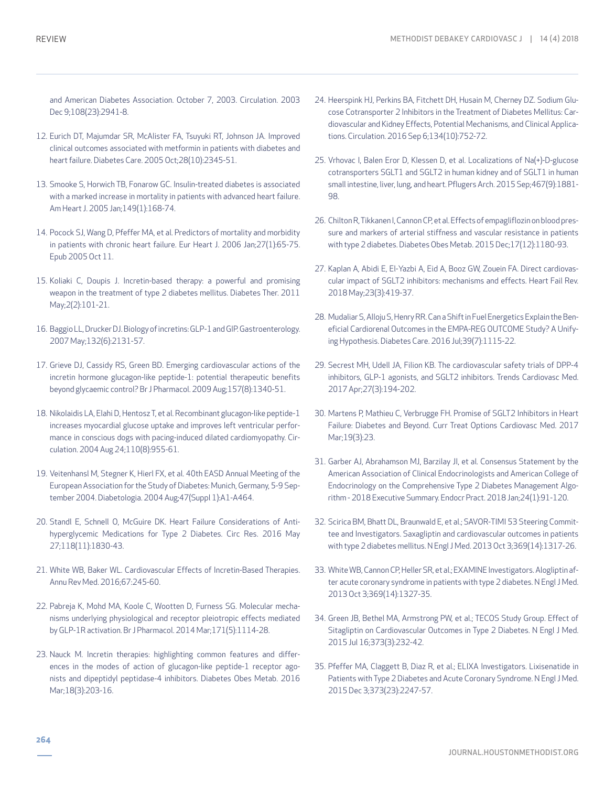and American Diabetes Association. October 7, 2003. Circulation. 2003 Dec 9;108(23):2941-8.

- 12. Eurich DT, Majumdar SR, McAlister FA, Tsuyuki RT, Johnson JA. Improved clinical outcomes associated with metformin in patients with diabetes and heart failure. Diabetes Care. 2005 Oct;28(10):2345-51.
- 13. Smooke S, Horwich TB, Fonarow GC. Insulin-treated diabetes is associated with a marked increase in mortality in patients with advanced heart failure. Am Heart J. 2005 Jan;149(1):168-74.
- 14. Pocock SJ, Wang D, Pfeffer MA, et al. Predictors of mortality and morbidity in patients with chronic heart failure. Eur Heart J. 2006 Jan;27(1):65-75. Epub 2005 Oct 11.
- 15. Koliaki C, Doupis J. Incretin-based therapy: a powerful and promising weapon in the treatment of type 2 diabetes mellitus. Diabetes Ther. 2011 May;2(2):101-21.
- 16. Baggio LL, Drucker DJ. Biology of incretins: GLP-1 and GIP. Gastroenterology. 2007 May;132(6):2131-57.
- 17. Grieve DJ, Cassidy RS, Green BD. Emerging cardiovascular actions of the incretin hormone glucagon-like peptide-1: potential therapeutic benefits beyond glycaemic control? Br J Pharmacol. 2009 Aug;157(8):1340-51.
- 18. Nikolaidis LA, Elahi D, Hentosz T, et al. Recombinant glucagon-like peptide-1 increases myocardial glucose uptake and improves left ventricular performance in conscious dogs with pacing-induced dilated cardiomyopathy. Circulation. 2004 Aug 24;110(8):955-61.
- 19. Veitenhansl M, Stegner K, Hierl FX, et al. 40th EASD Annual Meeting of the European Association for the Study of Diabetes: Munich, Germany, 5-9 September 2004. Diabetologia. 2004 Aug;47(Suppl 1):A1-A464.
- 20. Standl E, Schnell O, McGuire DK. Heart Failure Considerations of Antihyperglycemic Medications for Type 2 Diabetes. Circ Res. 2016 May 27;118(11):1830-43.
- 21. White WB, Baker WL. Cardiovascular Effects of Incretin-Based Therapies. Annu Rev Med. 2016;67:245-60.
- 22. Pabreja K, Mohd MA, Koole C, Wootten D, Furness SG. Molecular mechanisms underlying physiological and receptor pleiotropic effects mediated by GLP-1R activation. Br J Pharmacol. 2014 Mar;171(5):1114-28.
- 23. Nauck M. Incretin therapies: highlighting common features and differences in the modes of action of glucagon-like peptide-1 receptor agonists and dipeptidyl peptidase-4 inhibitors. Diabetes Obes Metab. 2016 Mar;18(3):203-16.
- 24. Heerspink HJ, Perkins BA, Fitchett DH, Husain M, Cherney DZ. Sodium Glucose Cotransporter 2 Inhibitors in the Treatment of Diabetes Mellitus: Cardiovascular and Kidney Effects, Potential Mechanisms, and Clinical Applications. Circulation. 2016 Sep 6;134(10):752-72.
- 25. Vrhovac I, Balen Eror D, Klessen D, et al. Localizations of Na(+)-D-glucose cotransporters SGLT1 and SGLT2 in human kidney and of SGLT1 in human small intestine, liver, lung, and heart. Pflugers Arch. 2015 Sep;467(9):1881- 98.
- 26. Chilton R, Tikkanen I, Cannon CP, et al. Effects of empagliflozin on blood pressure and markers of arterial stiffness and vascular resistance in patients with type 2 diabetes. Diabetes Obes Metab. 2015 Dec;17(12):1180-93.
- 27. Kaplan A, Abidi E, El-Yazbi A, Eid A, Booz GW, Zouein FA. Direct cardiovascular impact of SGLT2 inhibitors: mechanisms and effects. Heart Fail Rev. 2018 May;23(3):419-37.
- 28. Mudaliar S, Alloju S, Henry RR. Can a Shift in Fuel Energetics Explain the Beneficial Cardiorenal Outcomes in the EMPA-REG OUTCOME Study? A Unifying Hypothesis. Diabetes Care. 2016 Jul;39(7):1115-22.
- 29. Secrest MH, Udell JA, Filion KB. The cardiovascular safety trials of DPP-4 inhibitors, GLP-1 agonists, and SGLT2 inhibitors. Trends Cardiovasc Med. 2017 Apr;27(3):194-202.
- 30. Martens P, Mathieu C, Verbrugge FH. Promise of SGLT2 Inhibitors in Heart Failure: Diabetes and Beyond. Curr Treat Options Cardiovasc Med. 2017 Mar;19(3):23.
- 31. Garber AJ, Abrahamson MJ, Barzilay JI, et al. Consensus Statement by the American Association of Clinical Endocrinologists and American College of Endocrinology on the Comprehensive Type 2 Diabetes Management Algorithm - 2018 Executive Summary. Endocr Pract. 2018 Jan;24(1):91-120.
- 32. Scirica BM, Bhatt DL, Braunwald E, et al.; SAVOR-TIMI 53 Steering Committee and Investigators. Saxagliptin and cardiovascular outcomes in patients with type 2 diabetes mellitus. N Engl J Med. 2013 Oct 3;369(14):1317-26.
- 33. White WB, Cannon CP, Heller SR, et al.; EXAMINE Investigators. Alogliptin after acute coronary syndrome in patients with type 2 diabetes. N Engl J Med. 2013 Oct 3;369(14):1327-35.
- 34. Green JB, Bethel MA, Armstrong PW, et al.; TECOS Study Group. Effect of Sitagliptin on Cardiovascular Outcomes in Type 2 Diabetes. N Engl J Med. 2015 Jul 16;373(3):232-42.
- 35. Pfeffer MA, Claggett B, Diaz R, et al.; ELIXA Investigators. Lixisenatide in Patients with Type 2 Diabetes and Acute Coronary Syndrome. N Engl J Med. 2015 Dec 3;373(23):2247-57.